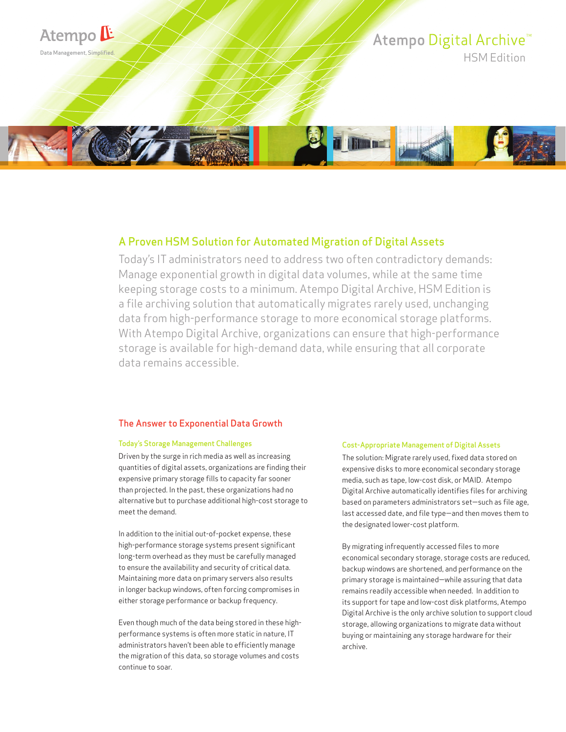

## A Proven HSM Solution for Automated Migration of Digital Assets

Today's IT administrators need to address two often contradictory demands: Manage exponential growth in digital data volumes, while at the same time keeping storage costs to a minimum. Atempo Digital Archive, HSM Edition is a file archiving solution that automatically migrates rarely used, unchanging data from high-performance storage to more economical storage platforms. With Atempo Digital Archive, organizations can ensure that high-performance storage is available for high-demand data, while ensuring that all corporate data remains accessible.

## The Answer to Exponential Data Growth

#### Today's Storage Management Challenges

Driven by the surge in rich media as well as increasing quantities of digital assets, organizations are finding their expensive primary storage fills to capacity far sooner than projected. In the past, these organizations had no alternative but to purchase additional high-cost storage to meet the demand.

In addition to the initial out-of-pocket expense, these high-performance storage systems present significant long-term overhead as they must be carefully managed to ensure the availability and security of critical data. Maintaining more data on primary servers also results in longer backup windows, often forcing compromises in either storage performance or backup frequency.

Even though much of the data being stored in these highperformance systems is often more static in nature, IT administrators haven't been able to efficiently manage the migration of this data, so storage volumes and costs continue to soar.

#### Cost-Appropriate Management of Digital Assets

The solution: Migrate rarely used, fixed data stored on expensive disks to more economical secondary storage media, such as tape, low-cost disk, or MAID. Atempo Digital Archive automatically identifies files for archiving based on parameters administrators set—such as file age, last accessed date, and file type—and then moves them to the designated lower-cost platform.

By migrating infrequently accessed files to more economical secondary storage, storage costs are reduced, backup windows are shortened, and performance on the primary storage is maintained—while assuring that data remains readily accessible when needed. In addition to its support for tape and low-cost disk platforms, Atempo Digital Archive is the only archive solution to support cloud storage, allowing organizations to migrate data without buying or maintaining any storage hardware for their archive.